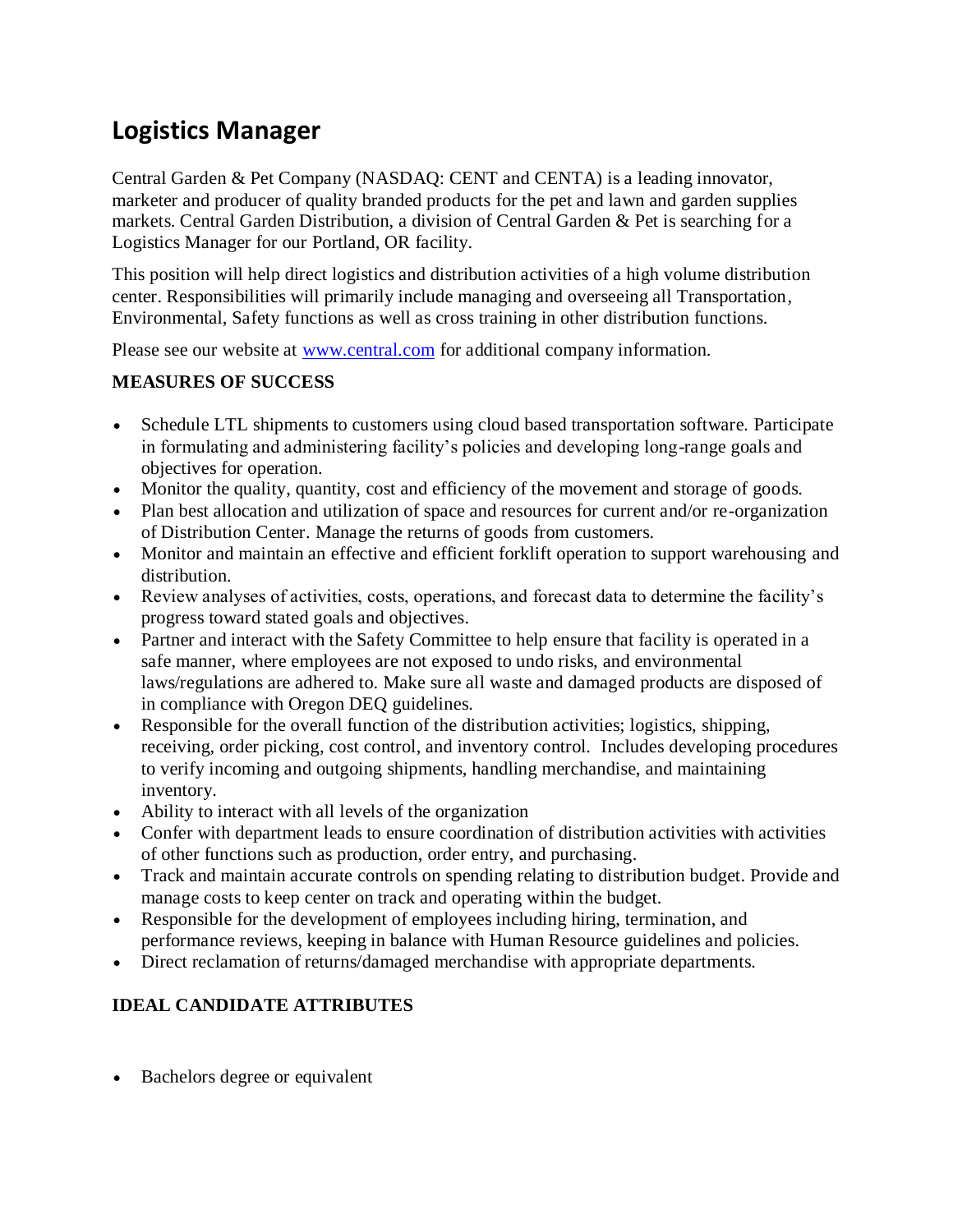## **Logistics Manager**

Central Garden & Pet Company (NASDAQ: CENT and CENTA) is a leading innovator, marketer and producer of quality branded products for the pet and lawn and garden supplies markets. Central Garden Distribution, a division of Central Garden & Pet is searching for a Logistics Manager for our Portland, OR facility.

This position will help direct logistics and distribution activities of a high volume distribution center. Responsibilities will primarily include managing and overseeing all Transportation, Environmental, Safety functions as well as cross training in other distribution functions.

Please see our website at [www.central.com](http://www.central.com/) for additional company information.

## **MEASURES OF SUCCESS**

- Schedule LTL shipments to customers using cloud based transportation software. Participate in formulating and administering facility's policies and developing long-range goals and objectives for operation.
- Monitor the quality, quantity, cost and efficiency of the movement and storage of goods.
- Plan best allocation and utilization of space and resources for current and/or re-organization of Distribution Center. Manage the returns of goods from customers.
- Monitor and maintain an effective and efficient forklift operation to support warehousing and distribution.
- Review analyses of activities, costs, operations, and forecast data to determine the facility's progress toward stated goals and objectives.
- Partner and interact with the Safety Committee to help ensure that facility is operated in a safe manner, where employees are not exposed to undo risks, and environmental laws/regulations are adhered to. Make sure all waste and damaged products are disposed of in compliance with Oregon DEQ guidelines.
- Responsible for the overall function of the distribution activities; logistics, shipping, receiving, order picking, cost control, and inventory control. Includes developing procedures to verify incoming and outgoing shipments, handling merchandise, and maintaining inventory.
- Ability to interact with all levels of the organization
- Confer with department leads to ensure coordination of distribution activities with activities of other functions such as production, order entry, and purchasing.
- Track and maintain accurate controls on spending relating to distribution budget. Provide and manage costs to keep center on track and operating within the budget.
- Responsible for the development of employees including hiring, termination, and performance reviews, keeping in balance with Human Resource guidelines and policies.
- Direct reclamation of returns/damaged merchandise with appropriate departments.

## **IDEAL CANDIDATE ATTRIBUTES**

• Bachelors degree or equivalent